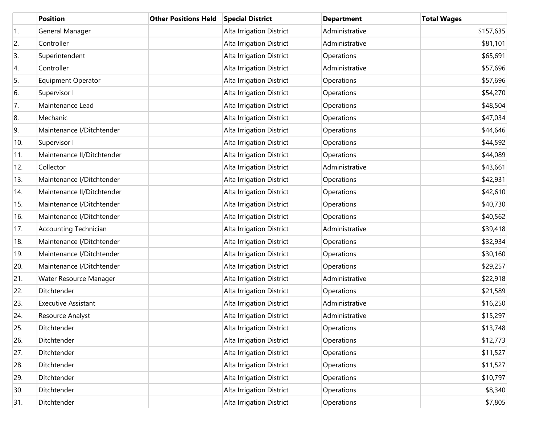|     | <b>Position</b>              | <b>Other Positions Held</b> | <b>Special District</b>  | <b>Department</b> | <b>Total Wages</b> |
|-----|------------------------------|-----------------------------|--------------------------|-------------------|--------------------|
| 1.  | General Manager              |                             | Alta Irrigation District | Administrative    | \$157,635          |
| 2.  | Controller                   |                             | Alta Irrigation District | Administrative    | \$81,101           |
| 3.  | Superintendent               |                             | Alta Irrigation District | Operations        | \$65,691           |
| 4.  | Controller                   |                             | Alta Irrigation District | Administrative    | \$57,696           |
| 5.  | <b>Equipment Operator</b>    |                             | Alta Irrigation District | Operations        | \$57,696           |
| 6.  | Supervisor I                 |                             | Alta Irrigation District | Operations        | \$54,270           |
| 7.  | Maintenance Lead             |                             | Alta Irrigation District | Operations        | \$48,504           |
| 8.  | Mechanic                     |                             | Alta Irrigation District | Operations        | \$47,034           |
| 9.  | Maintenance I/Ditchtender    |                             | Alta Irrigation District | Operations        | \$44,646           |
| 10. | Supervisor I                 |                             | Alta Irrigation District | Operations        | \$44,592           |
| 11. | Maintenance II/Ditchtender   |                             | Alta Irrigation District | Operations        | \$44,089           |
| 12. | Collector                    |                             | Alta Irrigation District | Administrative    | \$43,661           |
| 13. | Maintenance I/Ditchtender    |                             | Alta Irrigation District | Operations        | \$42,931           |
| 14. | Maintenance II/Ditchtender   |                             | Alta Irrigation District | Operations        | \$42,610           |
| 15. | Maintenance I/Ditchtender    |                             | Alta Irrigation District | Operations        | \$40,730           |
| 16. | Maintenance I/Ditchtender    |                             | Alta Irrigation District | Operations        | \$40,562           |
| 17. | <b>Accounting Technician</b> |                             | Alta Irrigation District | Administrative    | \$39,418           |
| 18. | Maintenance I/Ditchtender    |                             | Alta Irrigation District | Operations        | \$32,934           |
| 19. | Maintenance I/Ditchtender    |                             | Alta Irrigation District | Operations        | \$30,160           |
| 20. | Maintenance I/Ditchtender    |                             | Alta Irrigation District | Operations        | \$29,257           |
| 21. | Water Resource Manager       |                             | Alta Irrigation District | Administrative    | \$22,918           |
| 22. | Ditchtender                  |                             | Alta Irrigation District | Operations        | \$21,589           |
| 23. | <b>Executive Assistant</b>   |                             | Alta Irrigation District | Administrative    | \$16,250           |
| 24. | Resource Analyst             |                             | Alta Irrigation District | Administrative    | \$15,297           |
| 25. | Ditchtender                  |                             | Alta Irrigation District | Operations        | \$13,748           |
| 26. | Ditchtender                  |                             | Alta Irrigation District | Operations        | \$12,773           |
| 27. | Ditchtender                  |                             | Alta Irrigation District | Operations        | \$11,527           |
| 28. | Ditchtender                  |                             | Alta Irrigation District | Operations        | \$11,527           |
| 29. | Ditchtender                  |                             | Alta Irrigation District | Operations        | \$10,797           |
| 30. | Ditchtender                  |                             | Alta Irrigation District | Operations        | \$8,340            |
| 31. | Ditchtender                  |                             | Alta Irrigation District | Operations        | \$7,805            |